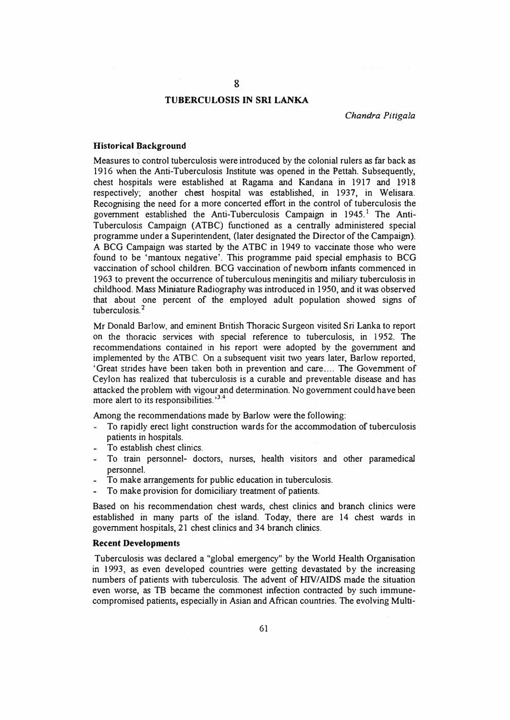# **8**

# **TUBERCULOSIS IN SRI LANKA**

*Chandra Pitigala* 

#### **Historical Background**

Measures to control tuberculosis were introduced by the colonial rulers as far back as 1916 when the Anti-Tuberculosis Institute was opened in the Pettah. Subsequently, chest hospitals were established at Ragama and Kandana **in** 1917 and 1918 respectively; another chest hospital was established, in 1937, in Welisara. Recognising the need for a more concerted effort in the control of tuberculosis the government established the Anti-Tuberculosis Campaign in 1945.<sup>1</sup> The Anti-Tuberculosis Campaign (ATBC) functioned as a centrally administered special programme under a Superintendent, (later designated the Director of the Campaign). A BCG Campaign was started by the ATBC in 1949 to vaccinate those who were found to be 'mantoux negative'. This programme paid special emphasis to BCG vaccination of school children. BCG vaccination of newborn infants commenced in 1963 to prevent the occurrence of tuberculous meningitis and miliary tuberculosis in childhood. Mass Miniature Radiography was introduced in 1950, and **it** was observed that about one percent of the employed adult population showed signs of tuberculosis. 2

Mr Donald Barlow, and eminent British Thoracic Surgeon visited Sri Lanka to report on the thoracic services with special reference to tuberculosis, in 1952. The recommendations contained in his report were adopted by the govenunent and implemented by the ATBC. On a subsequent visit two years later, Barlow reported, 'Great strides have been taken both in prevention and care .... The Government of Ceylon has realized that tuberculosis is a curable and preventable disease and has attacked the problem with vigour and determination. No government could have been more alert to its responsibilities.<sup>334</sup> ·

Among the recommendations made by Barlow were the following:

- To rapidly erect light construction wards for the accommodation of tuberculosis  $\omega_{\rm c}$ patients in hospitals.
- To establish chest clinics.
- To train personnel- doctors, nurses, health visitors and other paramedical personnel.
- To make arrangements for public education in tuberculosis.
- To make provision for domiciliary treatment of patients.

Based on his recommendation chest wards, chest clinics and branch clinics were established in many parts of the island. Today, there are 14 chest wards in government hospitals, 21 chest clinics and 34 branch clinics.

## **Recent Developments**

Tuberculosis was declared a "global emergency" by the World Health Organisation in 1993, as even developed countries were getting devastated by the increasing numbers of patients with tuberculosis. The advent of HIV/AIDS made the situation even worse, as TB became the commonest infection contracted by such immunecompromised patients, especially in Asian and African countries. The evolving Multi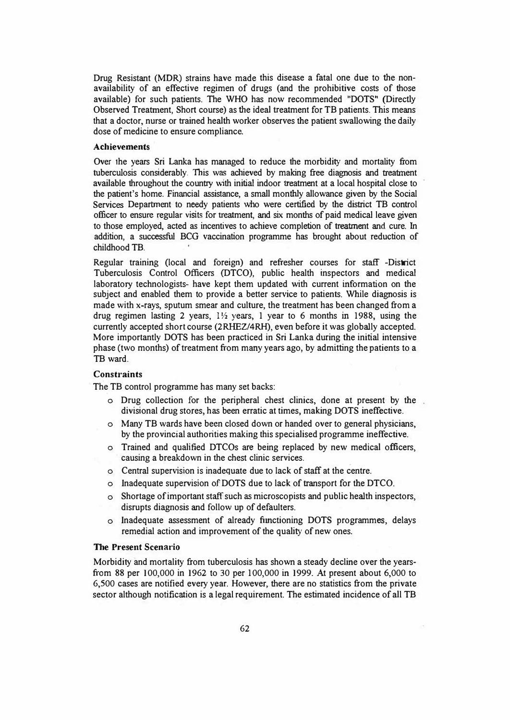Drug Resistant (MOR) strains have made this disease a fatal one due to the nonavailability of an effective regimen of drugs (and the prohibitive costs of those available) for such patients. The WHO has now recommended "DOTS" (Directly Observed Treatment, Short course) as the ideal treatment for TB patients. This means that a doctor, nurse or trained health worker observes the patient swallowing the daily dose of medicine to ensure compliance.

#### **Achievements**

Over the years Sri Lanka has managed to reduce the morbidity and mortality from tuberculosis considerably. This was achieved by making free diagnosis and treatment available throughout the country with initial indoor treatment at a local hospital close to the patient's home. Financial assistance, a small monthly allowance given by the Social Services Department to needy patients who were certified by the district TB control officer to ensure regular visits for treatment, and six months of paid medical leave given to those employed, acted as incentives to achieve completion of treatment and cure. In addition, a successful BCG vaccination programme has brought about reduction of childhood TB.

Regular training (local and foreign) and refresher courses for staff -District Tuberculosis Control Officers (DTCO), public health inspectors and medical laboratory technologists- have kept them updated with current information on the subject and enabled them to provide a better service to patients. While diagnosis is made with x-rays, sputum smear and culture, the treatment has been changed from a drug regimen lasting 2 years,  $1\frac{1}{2}$  years, 1 year to 6 months in 1988, using the currently accepted short course (2RHEZ/4RH), even before it was globally accepted. More importantly DOTS has been practiced in Sri Lanka during the initial intensive phase (two months) of treatment from many years ago, by admitting the patients to a TB ward.

# **Constraints**

The TB control programme has many set backs:

- o Drug collection for the peripheral chest clinics, done at present by the divisional drug stores, has been erratic at times, making DOTS ineffective.
- o Many TB wards have been closed down or handed over to general physicians, by the provincial authorities making this specialised programme ineffective.
- o Trained and qualified DTCOs are being replaced by new medical officers, causing a breakdown in the chest clinic services.
- o Central supervision is inadequate due to lack of staff at the centre.
- o Inadequate supervision of DOTS due to lack of transport for the DTCO.
- o Shortage of important staff such as microscopists and public health inspectors, disrupts diagnosis and follow up of defaulters.
- o Inadequate assessment of already functioning DOTS programmes, delays remedial action and improvement of the quality of new ones.

#### **The Present Scenario**

Morbidity and mortality from tuberculosis has shown a steady decline over the yearsfrom 88 per 100,000 in 1962 to 30 per 100,000 in 1999. At present about 6,000 to 6,500 cases are notified every year. However, there are no statistics from the private sector although notification is a legal requirement. The estimated incidence of all TB